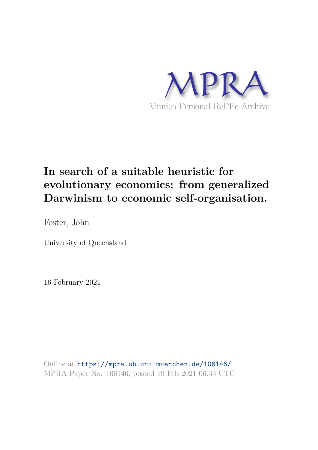

# **In search of a suitable heuristic for evolutionary economics: from generalized Darwinism to economic self-organisation.**

Foster, John

University of Queensland

16 February 2021

Online at https://mpra.ub.uni-muenchen.de/106146/ MPRA Paper No. 106146, posted 19 Feb 2021 06:33 UTC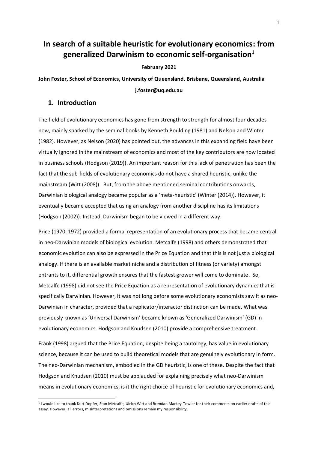# **In search of a suitable heuristic for evolutionary economics: from generalized Darwinism to economic self-organisation<sup>1</sup>**

#### **February 2021**

**John Foster, School of Economics, University of Queensland, Brisbane, Queensland, Australia j.foster@uq.edu.au** 

## **1. Introduction**

<u>.</u>

The field of evolutionary economics has gone from strength to strength for almost four decades now, mainly sparked by the seminal books by Kenneth Boulding (1981) and Nelson and Winter (1982). However, as Nelson (2020) has pointed out, the advances in this expanding field have been virtually ignored in the mainstream of economics and most of the key contributors are now located in business schools (Hodgson (2019)). An important reason for this lack of penetration has been the fact that the sub-fields of evolutionary economics do not have a shared heuristic, unlike the mainstream (Witt (2008)). But, from the above mentioned seminal contributions onwards, Darwinian biological analogy became popular as a 'meta-heuristic' (Winter (2014)). However, it eventually became accepted that using an analogy from another discipline has its limitations (Hodgson (2002)). Instead, Darwinism began to be viewed in a different way.

Price (1970, 1972) provided a formal representation of an evolutionary process that became central in neo-Darwinian models of biological evolution. Metcalfe (1998) and others demonstrated that economic evolution can also be expressed in the Price Equation and that this is not just a biological analogy. If there is an available market niche and a distribution of fitness (or variety) amongst entrants to it, differential growth ensures that the fastest grower will come to dominate. So, Metcalfe (1998) did not see the Price Equation as a representation of evolutionary dynamics that is specifically Darwinian. However, it was not long before some evolutionary economists saw it as neo-Darwinian in character, provided that a replicator/interactor distinction can be made. What was previously known as 'Universal Darwinism' became known as 'Generalized Darwinism' (GD) in evolutionary economics. Hodgson and Knudsen (2010) provide a comprehensive treatment.

Frank (1998) argued that the Price Equation, despite being a tautology, has value in evolutionary science, because it can be used to build theoretical models that are genuinely evolutionary in form. The neo-Darwinian mechanism, embodied in the GD heuristic, is one of these. Despite the fact that Hodgson and Knudsen (2010) must be applauded for explaining precisely what neo-Darwinism means in evolutionary economics, is it the right choice of heuristic for evolutionary economics and,

<sup>&</sup>lt;sup>1</sup> I would like to thank Kurt Dopfer, Stan Metcalfe, Ulrich Witt and Brendan Markey-Towler for their comments on earlier drafts of this essay. However, all errors, misinterpretations and omissions remain my responsibility.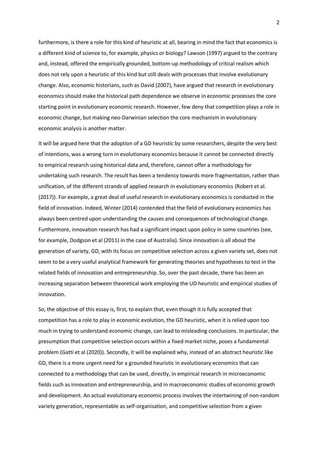furthermore, is there a role for this kind of heuristic at all, bearing in mind the fact that economics is a different kind of science to, for example, physics or biology? Lawson (1997) argued to the contrary and, instead, offered the empirically grounded, bottom-up methodology of critical realism which does not rely upon a heuristic of this kind but still deals with processes that involve evolutionary change. Also, economic historians, such as David (2007), have argued that research in evolutionary economics should make the historical path dependence we observe in economic processes the core starting point in evolutionary economic research. However, few deny that competition plays a role in economic change, but making neo-Darwinian selection the core mechanism in evolutionary economic analysis is another matter.

It will be argued here that the adoption of a GD heuristic by some researchers, despite the very best of intentions, was a wrong turn in evolutionary economics because it cannot be connected directly to empirical research using historical data and, therefore, cannot offer a methodology for undertaking such research. The result has been a tendency towards more fragmentation, rather than unification, of the different strands of applied research in evolutionary economics (Robert et al. (2017)). For example, a great deal of useful research in evolutionary economics is conducted in the field of innovation. Indeed, Winter (2014) contended that the field of evolutionary economics has always been centred upon understanding the causes and consequences of technological change. Furthermore, innovation research has had a significant impact upon policy in some countries (see, for example, Dodgson et al (2011) in the case of Australia). Since innovation is all about the generation of variety, GD, with its focus on competitive selection across a given variety set, does not seem to be a very useful analytical framework for generating theories and hypotheses to test in the related fields of innovation and entrepreneurship. So, over the past decade, there has been an increasing separation between theoretical work employing the UD heuristic and empirical studies of innovation.

So, the objective of this essay is, first, to explain that, even though it is fully accepted that competition has a role to play in economic evolution, the GD heuristic, when it is relied upon too much in trying to understand economic change, can lead to misleading conclusions. In particular, the presumption that competitive selection occurs within a fixed market niche, poses a fundamental problem (Gatti et al (2020)). Secondly, it will be explained why, instead of an abstract heuristic like GD, there is a more urgent need for a grounded heuristic in evolutionary economics that can connected to a methodology that can be used, directly, in empirical research in microeconomic fields such as innovation and entrepreneurship, and in macroeconomic studies of economic growth and development. An actual evolutionary economic process involves the intertwining of non-random variety generation, representable as self-organisation, and competitive selection from a given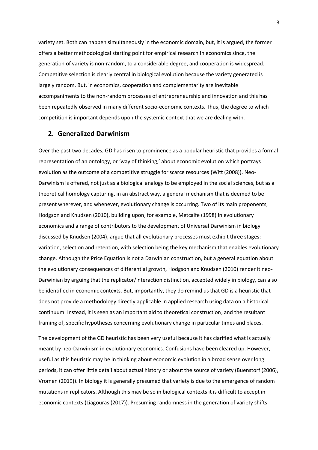variety set. Both can happen simultaneously in the economic domain, but, it is argued, the former offers a better methodological starting point for empirical research in economics since, the generation of variety is non-random, to a considerable degree, and cooperation is widespread. Competitive selection is clearly central in biological evolution because the variety generated is largely random. But, in economics, cooperation and complementarity are inevitable accompaniments to the non-random processes of entrepreneurship and innovation and this has been repeatedly observed in many different socio-economic contexts. Thus, the degree to which competition is important depends upon the systemic context that we are dealing with.

#### **2. Generalized Darwinism**

Over the past two decades, GD has risen to prominence as a popular heuristic that provides a formal representation of an ontology, or 'way of thinking,' about economic evolution which portrays evolution as the outcome of a competitive struggle for scarce resources (Witt (2008)). Neo-Darwinism is offered, not just as a biological analogy to be employed in the social sciences, but as a theoretical homology capturing, in an abstract way, a general mechanism that is deemed to be present wherever, and whenever, evolutionary change is occurring. Two of its main proponents, Hodgson and Knudsen (2010), building upon, for example, Metcalfe (1998) in evolutionary economics and a range of contributors to the development of Universal Darwinism in biology discussed by Knudsen (2004), argue that all evolutionary processes must exhibit three stages: variation, selection and retention, with selection being the key mechanism that enables evolutionary change. Although the Price Equation is not a Darwinian construction, but a general equation about the evolutionary consequences of differential growth, Hodgson and Knudsen (2010) render it neo-Darwinian by arguing that the replicator/interaction distinction, accepted widely in biology, can also be identified in economic contexts. But, importantly, they do remind us that GD is a heuristic that does not provide a methodology directly applicable in applied research using data on a historical continuum. Instead, it is seen as an important aid to theoretical construction, and the resultant framing of, specific hypotheses concerning evolutionary change in particular times and places.

The development of the GD heuristic has been very useful because it has clarified what is actually meant by neo-Darwinism in evolutionary economics. Confusions have been cleared up. However, useful as this heuristic may be in thinking about economic evolution in a broad sense over long periods, it can offer little detail about actual history or about the source of variety (Buenstorf (2006), Vromen (2019)). In biology it is generally presumed that variety is due to the emergence of random mutations in replicators. Although this may be so in biological contexts it is difficult to accept in economic contexts (Liagouras (2017)). Presuming randomness in the generation of variety shifts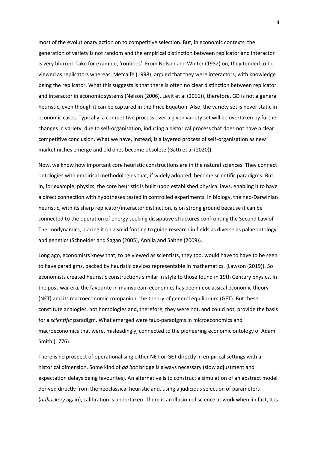most of the evolutionary action on to competitive selection. But, in economic contexts, the generation of variety is not random and the empirical distinction between replicator and interactor is very blurred. Take for example, 'routines'. From Nelson and Winter (1982) on, they tended to be viewed as replicators whereas, Metcalfe (1998), argued that they were interactors, with knowledge being the replicator. What this suggests is that there is often no clear distinction between replicator and interactor in economic systems (Nelson (2006), Levit et al (2011)), therefore, GD is not a general heuristic, even though it can be captured in the Price Equation. Also, the variety set is never static in economic cases. Typically, a competitive process over a given variety set will be overtaken by further changes in variety, due to self-organisation, inducing a historical process that does not have a clear competitive conclusion. What we have, instead, is a layered process of self-organisation as new market niches emerge and old ones become obsolete (Gatti et al (2020)).

Now, we know how important core heuristic constructions are in the natural sciences. They connect ontologies with empirical methodologies that, if widely adopted, become scientific paradigms. But in, for example, physics, the core heuristic is built upon established physical laws, enabling it to have a direct connection with hypotheses tested in controlled experiments. In biology, the neo-Darwinian heuristic, with its sharp replicator/interactor distinction, is on strong ground because it can be connected to the operation of energy seeking dissipative structures confronting the Second Law of Thermodynamics, placing it on a solid footing to guide research in fields as diverse as palaeontology and genetics (Schneider and Sagan (2005), Annila and Salthe (2009)).

Long ago, economists knew that, to be viewed as scientists, they too, would have to have to be seen to have paradigms, backed by heuristic devices representable in mathematics. (Lawson (2019)). So economists created heuristic constructions similar in style to those found in 19th Century physics. In the post-war era, the favourite in mainstream economics has been neoclassical economic theory (NET) and its macroeconomic companion, the theory of general equilibrium (GET). But these constitute analogies, not homologies and, therefore, they were not, and could not, provide the basis for a *scientific* paradigm. What emerged were faux-paradigms in microeconomics and macroeconomics that were, misleadingly, connected to the pioneering economic ontology of Adam Smith (1776).

There is no prospect of operationalising either NET or GET directly in empirical settings with a historical dimension. Some kind of *ad hoc* bridge is always necessary (slow adjustment and expectation delays being favourites). An alternative is to construct a simulation of an abstract model derived directly from the neoclassical heuristic and, using a judicious selection of parameters (*adhockery* again), calibration is undertaken. There is an illusion of science at work when, in fact, it is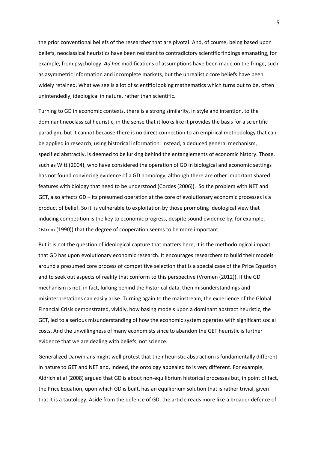the prior conventional beliefs of the researcher that are pivotal. And, of course, being based upon beliefs, neoclassical heuristics have been resistant to contradictory scientific findings emanating, for example, from psychology. *Ad hoc* modifications of assumptions have been made on the fringe, such as asymmetric information and incomplete markets, but the unrealistic core beliefs have been widely retained. What we see is a lot of scientific looking mathematics which turns out to be, often unintendedly, ideological in nature, rather than scientific.

Turning to GD in economic contexts, there is a strong similarity, in style and intention, to the dominant neoclassical heuristic, in the sense that it looks like it provides the basis for a scientific paradigm, but it cannot because there is no direct connection to an empirical methodology that can be applied in research, using historical information. Instead, a deduced general mechanism, specified abstractly, is deemed to be lurking behind the entanglements of economic history. Those, such as Witt (2004), who have considered the operation of GD in biological and economic settings has not found convincing evidence of a GD homology, although there are other important shared features with biology that need to be understood (Cordes (2006)). So the problem with NET and GET, also affects GD – its presumed operation at the core of evolutionary economic processes is a product of belief. So it is vulnerable to exploitation by those promoting ideological view that inducing competition is the key to economic progress, despite sound evidence by, for example, Ostrom (1990)) that the degree of cooperation seems to be more important.

But it is not the question of ideological capture that matters here, it is the methodological impact that GD has upon evolutionary economic research. It encourages researchers to build their models around a presumed core process of competitive selection that is a special case of the Price Equation and to seek out aspects of reality that conform to this perspective (Vromen (2012)). If the GD mechanism is not, in fact, lurking behind the historical data, then misunderstandings and misinterpretations can easily arise. Turning again to the mainstream, the experience of the Global Financial Crisis demonstrated, vividly, how basing models upon a dominant abstract heuristic, the GET, led to a serious misunderstanding of how the economic system operates with significant social costs. And the unwillingness of many economists since to abandon the GET heuristic is further evidence that we are dealing with beliefs, not science.

Generalized Darwinians might well protest that their heuristic abstraction is fundamentally different in nature to GET and NET and, indeed, the ontology appealed to is very different. For example, Aldrich et al (2008) argued that GD is about non-equilibrium historical processes but, in point of fact, the Price Equation, upon which GD is built, has an equilibrium solution that is rather trivial, given that it is a tautology. Aside from the defence of GD, the article reads more like a broader defence of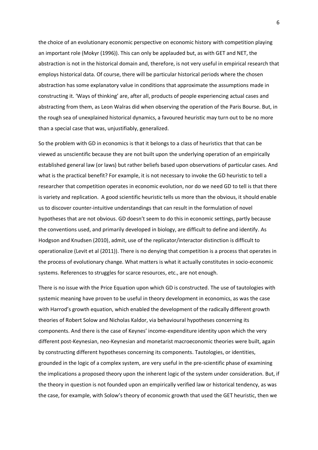the choice of an evolutionary economic perspective on economic history with competition playing an important role (Mokyr (1996)). This can only be applauded but, as with GET and NET, the abstraction is not in the historical domain and, therefore, is not very useful in empirical research that employs historical data. Of course, there will be particular historical periods where the chosen abstraction has some explanatory value in conditions that approximate the assumptions made in constructing it. 'Ways of thinking' are, after all, products of people experiencing actual cases and abstracting from them, as Leon Walras did when observing the operation of the Paris Bourse. But, in the rough sea of unexplained historical dynamics, a favoured heuristic may turn out to be no more than a special case that was, unjustifiably, generalized.

So the problem with GD in economics is that it belongs to a class of heuristics that that can be viewed as unscientific because they are not built upon the underlying operation of an empirically established general law (or laws) but rather beliefs based upon observations of particular cases. And what is the practical benefit? For example, it is not necessary to invoke the GD heuristic to tell a researcher that competition operates in economic evolution, nor do we need GD to tell is that there is variety and replication. A good scientific heuristic tells us more than the obvious, it should enable us to discover counter-intuitive understandings that can result in the formulation of novel hypotheses that are not obvious. GD doesn't seem to do this in economic settings, partly because the conventions used, and primarily developed in biology, are difficult to define and identify. As Hodgson and Knudsen (2010), admit, use of the replicator/interactor distinction is difficult to operationalize (Levit et al (2011)). There is no denying that competition is a process that operates in the process of evolutionary change. What matters is what it actually constitutes in socio-economic systems. References to struggles for scarce resources, etc., are not enough.

There is no issue with the Price Equation upon which GD is constructed. The use of tautologies with systemic meaning have proven to be useful in theory development in economics, as was the case with Harrod's growth equation, which enabled the development of the radically different growth theories of Robert Solow and Nicholas Kaldor, via behavioural hypotheses concerning its components. And there is the case of Keynes' income-expenditure identity upon which the very different post-Keynesian, neo-Keynesian and monetarist macroeconomic theories were built, again by constructing different hypotheses concerning its components. Tautologies, or identities, grounded in the logic of a complex system, are very useful in the pre-scientific phase of examining the implications a proposed theory upon the inherent logic of the system under consideration. But, if the theory in question is not founded upon an empirically verified law or historical tendency, as was the case, for example, with Solow's theory of economic growth that used the GET heuristic, then we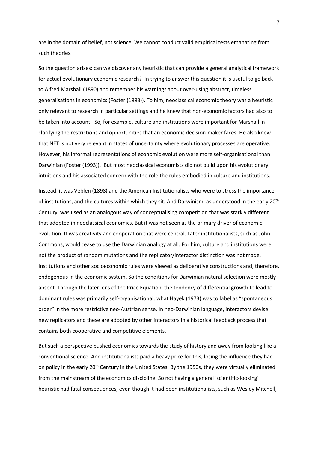are in the domain of belief, not science. We cannot conduct valid empirical tests emanating from such theories.

So the question arises: can we discover any heuristic that can provide a general analytical framework for actual evolutionary economic research? In trying to answer this question it is useful to go back to Alfred Marshall (1890) and remember his warnings about over-using abstract, timeless generalisations in economics (Foster (1993)). To him, neoclassical economic theory was a heuristic only relevant to research in particular settings and he knew that non-economic factors had also to be taken into account. So, for example, culture and institutions were important for Marshall in clarifying the restrictions and opportunities that an economic decision-maker faces. He also knew that NET is not very relevant in states of uncertainty where evolutionary processes are operative. However, his informal representations of economic evolution were more self-organisational than Darwinian (Foster (1993)). But most neoclassical economists did not build upon his evolutionary intuitions and his associated concern with the role the rules embodied in culture and institutions.

Instead, it was Veblen (1898) and the American Institutionalists who were to stress the importance of institutions, and the cultures within which they sit. And Darwinism, as understood in the early 20th Century, was used as an analogous way of conceptualising competition that was starkly different that adopted in neoclassical economics. But it was not seen as the primary driver of economic evolution. It was creativity and cooperation that were central. Later institutionalists, such as John Commons, would cease to use the Darwinian analogy at all. For him, culture and institutions were not the product of random mutations and the replicator/interactor distinction was not made. Institutions and other socioeconomic rules were viewed as deliberative constructions and, therefore, endogenous in the economic system. So the conditions for Darwinian natural selection were mostly absent. Through the later lens of the Price Equation, the tendency of differential growth to lead to dominant rules was primarily self-organisational: what Hayek (1973) was to label as "spontaneous order" in the more restrictive neo-Austrian sense. In neo-Darwinian language, interactors devise new replicators and these are adopted by other interactors in a historical feedback process that contains both cooperative and competitive elements.

But such a perspective pushed economics towards the study of history and away from looking like a conventional science. And institutionalists paid a heavy price for this, losing the influence they had on policy in the early 20<sup>th</sup> Century in the United States. By the 1950s, they were virtually eliminated from the mainstream of the economics discipline. So not having a general 'scientific-looking' heuristic had fatal consequences, even though it had been institutionalists, such as Wesley Mitchell,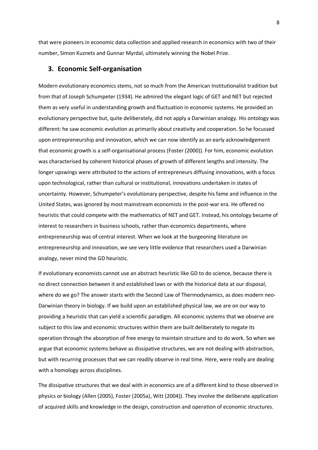that were pioneers in economic data collection and applied research in economics with two of their number, Simon Kuznets and Gunnar Myrdal, ultimately winning the Nobel Prize.

#### **3. Economic Self-organisation**

Modern evolutionary economics stems, not so much from the American Institutionalist tradition but from that of Joseph Schumpeter (1934). He admired the elegant logic of GET and NET but rejected them as very useful in understanding growth and fluctuation in economic systems. He provided an evolutionary perspective but, quite deliberately, did not apply a Darwinian analogy. His ontology was different: he saw economic evolution as primarily about creativity and cooperation. So he focussed upon entrepreneurship and innovation, which we can now identify as an early acknowledgement that economic growth is a self-organisational process (Foster (2000)). For him, economic evolution was characterised by coherent historical phases of growth of different lengths and intensity. The longer upswings were attributed to the actions of entrepreneurs diffusing innovations, with a focus upon technological, rather than cultural or institutional, innovations undertaken in states of uncertainty. However, Schumpeter's evolutionary perspective, despite his fame and influence in the United States, was ignored by most mainstream economists in the post-war era. He offered no heuristic that could compete with the mathematics of NET and GET. Instead, his ontology became of interest to researchers in business schools, rather than economics departments, where entrepreneurship was of central interest. When we look at the burgeoning literature on entrepreneurship and innovation, we see very little evidence that researchers used a Darwinian analogy, never mind the GD heuristic.

If evolutionary economists cannot use an abstract heuristic like GD to do science, because there is no direct connection between it and established laws or with the historical data at our disposal, where do we go? The answer starts with the Second Law of Thermodynamics, as does modern neo-Darwinian theory in biology. If we build upon an established physical law, we are on our way to providing a heuristic that can yield a scientific paradigm. All economic systems that we observe are subject to this law and economic structures within them are built deliberately to negate its operation through the absorption of free energy to maintain structure and to do work. So when we argue that economic systems behave as dissipative structures, we are not dealing with abstraction, but with recurring processes that we can readily observe in real time. Here, were really are dealing with a homology across disciplines.

The dissipative structures that we deal with in economics are of a different kind to those observed in physics or biology (Allen (2005), Foster (2005a), Witt (2004)). They involve the deliberate application of acquired skills and knowledge in the design, construction and operation of economic structures.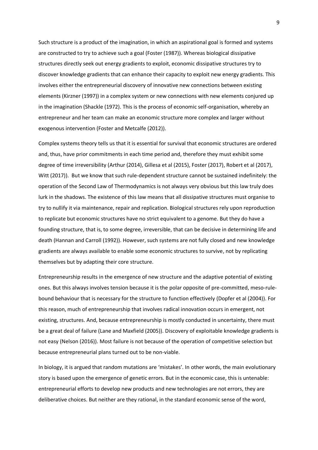Such structure is a product of the imagination, in which an aspirational goal is formed and systems are constructed to try to achieve such a goal (Foster (1987)). Whereas biological dissipative structures directly seek out energy gradients to exploit, economic dissipative structures try to discover knowledge gradients that can enhance their capacity to exploit new energy gradients. This involves either the entrepreneurial discovery of innovative new connections between existing elements (Kirzner (1997)) in a complex system or new connections with new elements conjured up in the imagination (Shackle (1972). This is the process of economic self-organisation, whereby an entrepreneur and her team can make an economic structure more complex and larger without exogenous intervention (Foster and Metcalfe (2012)).

Complex systems theory tells us that it is essential for survival that economic structures are ordered and, thus, have prior commitments in each time period and, therefore they must exhibit some degree of time irreversibility (Arthur (2014), Gillesa et al (2015), Foster (2017), Robert et al (2017), Witt (2017)). But we know that such rule-dependent structure cannot be sustained indefinitely: the operation of the Second Law of Thermodynamics is not always very obvious but this law truly does lurk in the shadows. The existence of this law means that all dissipative structures must organise to try to nullify it via maintenance, repair and replication. Biological structures rely upon reproduction to replicate but economic structures have no strict equivalent to a genome. But they do have a founding structure, that is, to some degree, irreversible, that can be decisive in determining life and death (Hannan and Carroll (1992)). However, such systems are not fully closed and new knowledge gradients are always available to enable some economic structures to survive, not by replicating themselves but by adapting their core structure.

Entrepreneurship results in the emergence of new structure and the adaptive potential of existing ones. But this always involves tension because it is the polar opposite of pre-committed, meso-rulebound behaviour that is necessary for the structure to function effectively (Dopfer et al (2004)). For this reason, much of entrepreneurship that involves radical innovation occurs in emergent, not existing, structures. And, because entrepreneurship is mostly conducted in uncertainty, there must be a great deal of failure (Lane and Maxfield (2005)). Discovery of exploitable knowledge gradients is not easy (Nelson (2016)). Most failure is not because of the operation of competitive selection but because entrepreneurial plans turned out to be non-viable.

In biology, it is argued that random mutations are 'mistakes'. In other words, the main evolutionary story is based upon the emergence of genetic errors. But in the economic case, this is untenable: entrepreneurial efforts to develop new products and new technologies are not errors, they are deliberative choices. But neither are they rational, in the standard economic sense of the word,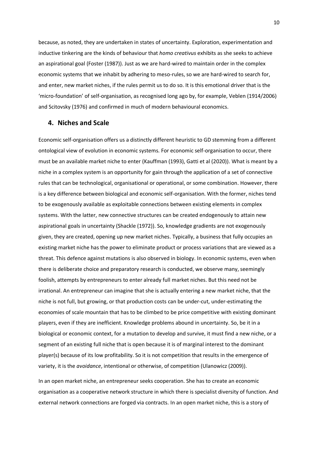because, as noted, they are undertaken in states of uncertainty. Exploration, experimentation and inductive tinkering are the kinds of behaviour that *homo creativus* exhibits as she seeks to achieve an aspirational goal (Foster (1987)). Just as we are hard-wired to maintain order in the complex economic systems that we inhabit by adhering to meso-rules, so we are hard-wired to search for, and enter, new market niches, if the rules permit us to do so. It is this emotional driver that is the 'micro-foundation' of self-organisation, as recognised long ago by, for example, Veblen (1914/2006) and Scitovsky (1976) and confirmed in much of modern behavioural economics.

### **4. Niches and Scale**

Economic self-organisation offers us a distinctly different heuristic to GD stemming from a different ontological view of evolution in economic systems. For economic self-organisation to occur, there must be an available market niche to enter (Kauffman (1993), Gatti et al (2020)). What is meant by a niche in a complex system is an opportunity for gain through the application of a set of connective rules that can be technological, organisational or operational, or some combination. However, there is a key difference between biological and economic self-organisation. With the former, niches tend to be exogenously available as exploitable connections between existing elements in complex systems. With the latter, new connective structures can be created endogenously to attain new aspirational goals in uncertainty (Shackle (1972)). So, knowledge gradients are not exogenously given, they are created, opening up new market niches. Typically, a business that fully occupies an existing market niche has the power to eliminate product or process variations that are viewed as a threat. This defence against mutations is also observed in biology. In economic systems, even when there is deliberate choice and preparatory research is conducted, we observe many, seemingly foolish, attempts by entrepreneurs to enter already full market niches. But this need not be irrational. An entrepreneur can imagine that she is actually entering a new market niche, that the niche is not full, but growing, or that production costs can be under-cut, under-estimating the economies of scale mountain that has to be climbed to be price competitive with existing dominant players, even if they are inefficient. Knowledge problems abound in uncertainty. So, be it in a biological or economic context, for a mutation to develop and survive, it must find a new niche, or a segment of an existing full niche that is open because it is of marginal interest to the dominant player(s) because of its low profitability. So it is not competition that results in the emergence of variety, it is the *avoidance*, intentional or otherwise, of competition (Ulanowicz (2009)).

In an open market niche, an entrepreneur seeks cooperation. She has to create an economic organisation as a cooperative network structure in which there is specialist diversity of function. And external network connections are forged via contracts. In an open market niche, this is a story of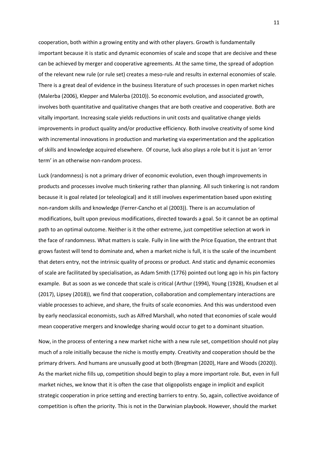cooperation, both within a growing entity and with other players. Growth is fundamentally important because it is static and dynamic economies of scale and scope that are decisive and these can be achieved by merger and cooperative agreements. At the same time, the spread of adoption of the relevant new rule (or rule set) creates a meso-rule and results in external economies of scale. There is a great deal of evidence in the business literature of such processes in open market niches (Malerba (2006), Klepper and Malerba (2010)). So economic evolution, and associated growth, involves both quantitative and qualitative changes that are both creative and cooperative. Both are vitally important. Increasing scale yields reductions in unit costs and qualitative change yields improvements in product quality and/or productive efficiency. Both involve creativity of some kind with incremental innovations in production and marketing via experimentation and the application of skills and knowledge acquired elsewhere. Of course, luck also plays a role but it is just an 'error term' in an otherwise non-random process.

Luck (randomness) is not a primary driver of economic evolution, even though improvements in products and processes involve much tinkering rather than planning. All such tinkering is not random because it is goal related (or teleological) and it still involves experimentation based upon existing non-random skills and knowledge (Ferrer-Cancho et al (2003)). There is an accumulation of modifications, built upon previous modifications, directed towards a goal. So it cannot be an optimal path to an optimal outcome. Neither is it the other extreme, just competitive selection at work in the face of randomness. What matters is scale. Fully in line with the Price Equation, the entrant that grows fastest will tend to dominate and, when a market niche is full, it is the scale of the incumbent that deters entry, not the intrinsic quality of process or product. And static and dynamic economies of scale are facilitated by specialisation, as Adam Smith (1776) pointed out long ago in his pin factory example. But as soon as we concede that scale is critical (Arthur (1994), Young (1928), Knudsen et al (2017), Lipsey (2018)), we find that cooperation, collaboration and complementary interactions are viable processes to achieve, and share, the fruits of scale economies. And this was understood even by early neoclassical economists, such as Alfred Marshall, who noted that economies of scale would mean cooperative mergers and knowledge sharing would occur to get to a dominant situation.

Now, in the process of entering a new market niche with a new rule set, competition should not play much of a role initially because the niche is mostly empty. Creativity and cooperation should be the primary drivers. And humans are unusually good at both (Bregman (2020), Hare and Woods (2020)). As the market niche fills up, competition should begin to play a more important role. But, even in full market niches, we know that it is often the case that oligopolists engage in implicit and explicit strategic cooperation in price setting and erecting barriers to entry. So, again, collective avoidance of competition is often the priority. This is not in the Darwinian playbook. However, should the market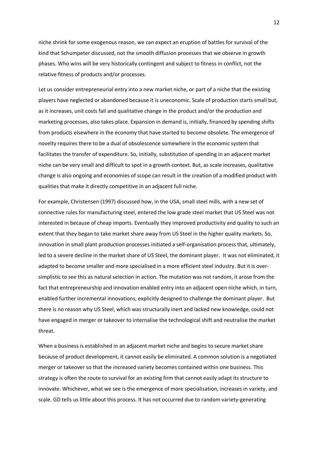niche shrink for some exogenous reason, we can expect an eruption of battles for survival of the kind that Schumpeter discussed, not the smooth diffusion processes that we observe in growth phases. Who wins will be very historically contingent and subject to fitness in conflict, not the relative fitness of products and/or processes.

Let us consider entrepreneurial entry into a new market niche, or part of a niche that the existing players have neglected or abandoned because it is uneconomic. Scale of production starts small but, as it increases, unit costs fall and qualitative change in the product and/or the production and marketing processes, also takes place. Expansion in demand is, initially, financed by spending shifts from products elsewhere in the economy that have started to become obsolete. The emergence of novelty requires there to be a dual of obsolescence somewhere in the economic system that facilitates the transfer of expenditure. So, initially, substitution of spending in an adjacent market niche can be very small and difficult to spot in a growth context. But, as scale increases, qualitative change is also ongoing and economies of scope can result in the creation of a modified product with qualities that make it directly competitive in an adjacent full niche.

For example, Christensen (1997) discussed how, in the USA, small steel mills, with a new set of connective rules for manufacturing steel, entered the low grade steel market that US Steel was not interested in because of cheap imports. Eventually they improved productivity and quality to such an extent that they began to take market share away from US Steel in the higher quality markets. So, innovation in small plant production processes initiated a self-organisation process that, ultimately, led to a severe decline in the market share of US Steel, the dominant player. It was not eliminated, it adapted to become smaller and more specialised in a more efficient steel industry. But it is oversimplistic to see this as natural selection in action. The mutation was not random, it arose from the fact that entrepreneurship and innovation enabled entry into an adjacent open niche which, in turn, enabled further incremental innovations, explicitly designed to challenge the dominant player. But there is no reason why US Steel, which was structurally inert and lacked new knowledge, could not have engaged in merger or takeover to internalise the technological shift and neutralise the market threat.

When a business is established in an adjacent market niche and begins to secure market share because of product development, it cannot easily be eliminated. A common solution is a negotiated merger or takeover so that the increased variety becomes contained within one business. This strategy is often the route to survival for an existing firm that cannot easily adapt its structure to innovate. Whichever, what we see is the emergence of more specialisation, increases in variety, and scale. GD tells us little about this process. It has not occurred due to random variety-generating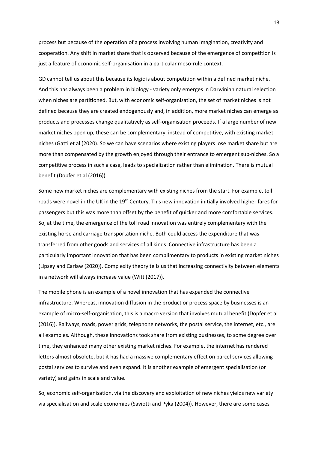process but because of the operation of a process involving human imagination, creativity and cooperation. Any shift in market share that is observed because of the emergence of competition is just a feature of economic self-organisation in a particular meso-rule context.

GD cannot tell us about this because its logic is about competition within a defined market niche. And this has always been a problem in biology - variety only emerges in Darwinian natural selection when niches are partitioned. But, with economic self-organisation, the set of market niches is not defined because they are created endogenously and, in addition, more market niches can emerge as products and processes change qualitatively as self-organisation proceeds. If a large number of new market niches open up, these can be complementary, instead of competitive, with existing market niches (Gatti et al (2020). So we can have scenarios where existing players lose market share but are more than compensated by the growth enjoyed through their entrance to emergent sub-niches. So a competitive process in such a case, leads to specialization rather than elimination. There is mutual benefit (Dopfer et al (2016)).

Some new market niches are complementary with existing niches from the start. For example, toll roads were novel in the UK in the 19<sup>th</sup> Century. This new innovation initially involved higher fares for passengers but this was more than offset by the benefit of quicker and more comfortable services. So, at the time, the emergence of the toll road innovation was entirely complementary with the existing horse and carriage transportation niche. Both could access the expenditure that was transferred from other goods and services of all kinds. Connective infrastructure has been a particularly important innovation that has been complimentary to products in existing market niches (Lipsey and Carlaw (2020)). Complexity theory tells us that increasing connectivity between elements in a network will always increase value (Witt (2017)).

The mobile phone is an example of a novel innovation that has expanded the connective infrastructure. Whereas, innovation diffusion in the product or process space by businesses is an example of micro-self-organisation, this is a macro version that involves mutual benefit (Dopfer et al (2016)). Railways, roads, power grids, telephone networks, the postal service, the internet, etc., are all examples. Although, these innovations took share from existing businesses, to some degree over time, they enhanced many other existing market niches. For example, the internet has rendered letters almost obsolete, but it has had a massive complementary effect on parcel services allowing postal services to survive and even expand. It is another example of emergent specialisation (or variety) and gains in scale and value.

So, economic self-organisation, via the discovery and exploitation of new niches yields new variety via specialisation and scale economies (Saviotti and Pyka (2004)). However, there are some cases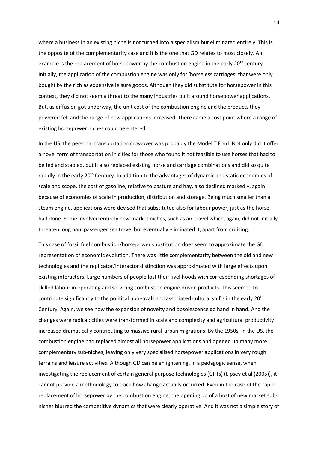where a business in an existing niche is not turned into a specialism but eliminated entirely. This is the opposite of the complementarity case and it is the one that GD relates to most closely. An example is the replacement of horsepower by the combustion engine in the early 20<sup>th</sup> century. Initially, the application of the combustion engine was only for 'horseless carriages' that were only bought by the rich as expensive leisure goods. Although they did substitute for horsepower in this context, they did not seem a threat to the many industries built around horsepower applications. But, as diffusion got underway, the unit cost of the combustion engine and the products they powered fell and the range of new applications increased. There came a cost point where a range of existing horsepower niches could be entered.

In the US, the personal transportation crossover was probably the Model T Ford. Not only did it offer a novel form of transportation in cities for those who found it not feasible to use horses that had to be fed and stabled, but it also replaced existing horse and carriage combinations and did so quite rapidly in the early 20<sup>th</sup> Century. In addition to the advantages of dynamic and static economies of scale and scope, the cost of gasoline, relative to pasture and hay, also declined markedly, again because of economies of scale in production, distribution and storage. Being much smaller than a steam engine, applications were devised that substituted also for labour power, just as the horse had done. Some involved entirely new market niches, such as air-travel which, again, did not initially threaten long haul passenger sea travel but eventually eliminated it, apart from cruising.

This case of fossil fuel combustion/horsepower substitution does seem to approximate the GD representation of economic evolution. There was little complementarity between the old and new technologies and the replicator/interactor distinction was approximated with large effects upon existing interactors. Large numbers of people lost their livelihoods with corresponding shortages of skilled labour in operating and servicing combustion engine driven products. This seemed to contribute significantly to the political upheavals and associated cultural shifts in the early 20<sup>th</sup> Century. Again, we see how the expansion of novelty and obsolescence go hand in hand. And the changes were radical: cities were transformed in scale and complexity and agricultural productivity increased dramatically contributing to massive rural-urban migrations. By the 1950s, in the US, the combustion engine had replaced almost all horsepower applications and opened up many more complementary sub-niches, leaving only very specialised horsepower applications in very rough terrains and leisure activities. Although GD can be enlightening, in a pedagogic sense, when investigating the replacement of certain general purpose technologies (GPTs) (Lipsey et al (2005)), it cannot provide a methodology to track how change actually occurred. Even in the case of the rapid replacement of horsepower by the combustion engine, the opening up of a host of new market subniches blurred the competitive dynamics that were clearly operative. And it was not a simple story of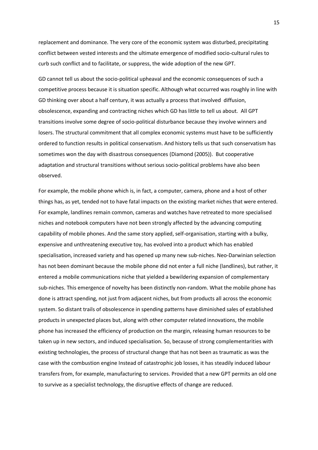replacement and dominance. The very core of the economic system was disturbed, precipitating conflict between vested interests and the ultimate emergence of modified socio-cultural rules to curb such conflict and to facilitate, or suppress, the wide adoption of the new GPT.

GD cannot tell us about the socio-political upheaval and the economic consequences of such a competitive process because it is situation specific. Although what occurred was roughly in line with GD thinking over about a half century, it was actually a process that involved diffusion, obsolescence, expanding and contracting niches which GD has little to tell us about. All GPT transitions involve some degree of socio-political disturbance because they involve winners and losers. The structural commitment that all complex economic systems must have to be sufficiently ordered to function results in political conservatism. And history tells us that such conservatism has sometimes won the day with disastrous consequences (Diamond (2005)). But cooperative adaptation and structural transitions without serious socio-political problems have also been observed.

For example, the mobile phone which is, in fact, a computer, camera, phone and a host of other things has, as yet, tended not to have fatal impacts on the existing market niches that were entered. For example, landlines remain common, cameras and watches have retreated to more specialised niches and notebook computers have not been strongly affected by the advancing computing capability of mobile phones. And the same story applied, self-organisation, starting with a bulky, expensive and unthreatening executive toy, has evolved into a product which has enabled specialisation, increased variety and has opened up many new sub-niches. Neo-Darwinian selection has not been dominant because the mobile phone did not enter a full niche (landlines), but rather, it entered a mobile communications niche that yielded a bewildering expansion of complementary sub-niches. This emergence of novelty has been distinctly non-random. What the mobile phone has done is attract spending, not just from adjacent niches, but from products all across the economic system. So distant trails of obsolescence in spending patterns have diminished sales of established products in unexpected places but, along with other computer related innovations, the mobile phone has increased the efficiency of production on the margin, releasing human resources to be taken up in new sectors, and induced specialisation. So, because of strong complementarities with existing technologies, the process of structural change that has not been as traumatic as was the case with the combustion engine Instead of catastrophic job losses, it has steadily induced labour transfers from, for example, manufacturing to services. Provided that a new GPT permits an old one to survive as a specialist technology, the disruptive effects of change are reduced.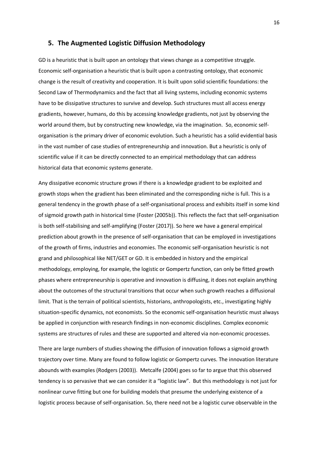#### **5. The Augmented Logistic Diffusion Methodology**

GD is a heuristic that is built upon an ontology that views change as a competitive struggle. Economic self-organisation a heuristic that is built upon a contrasting ontology, that economic change is the result of creativity and cooperation. It is built upon solid scientific foundations: the Second Law of Thermodynamics and the fact that all living systems, including economic systems have to be dissipative structures to survive and develop. Such structures must all access energy gradients, however, humans, do this by accessing knowledge gradients, not just by observing the world around them, but by constructing new knowledge, via the imagination. So, economic selforganisation is the primary driver of economic evolution. Such a heuristic has a solid evidential basis in the vast number of case studies of entrepreneurship and innovation. But a heuristic is only of scientific value if it can be directly connected to an empirical methodology that can address historical data that economic systems generate.

Any dissipative economic structure grows if there is a knowledge gradient to be exploited and growth stops when the gradient has been eliminated and the corresponding niche is full. This is a general tendency in the growth phase of a self-organisational process and exhibits itself in some kind of sigmoid growth path in historical time (Foster (2005b)). This reflects the fact that self-organisation is both self-stabilising and self-amplifying (Foster (2017)). So here we have a general empirical prediction about growth in the presence of self-organisation that can be employed in investigations of the growth of firms, industries and economies. The economic self-organisation heuristic is not grand and philosophical like NET/GET or GD. It is embedded in history and the empirical methodology, employing, for example, the logistic or Gompertz function, can only be fitted growth phases where entrepreneurship is operative and innovation is diffusing, it does not explain anything about the outcomes of the structural transitions that occur when such growth reaches a diffusional limit. That is the terrain of political scientists, historians, anthropologists, etc., investigating highly situation-specific dynamics, not economists. So the economic self-organisation heuristic must always be applied in conjunction with research findings in non-economic disciplines. Complex economic systems are structures of rules and these are supported and altered via non-economic processes.

There are large numbers of studies showing the diffusion of innovation follows a sigmoid growth trajectory over time. Many are found to follow logistic or Gompertz curves. The innovation literature abounds with examples (Rodgers (2003)). Metcalfe (2004) goes so far to argue that this observed tendency is so pervasive that we can consider it a "logistic law". But this methodology is not just for nonlinear curve fitting but one for building models that presume the underlying existence of a logistic process because of self-organisation. So, there need not be a logistic curve observable in the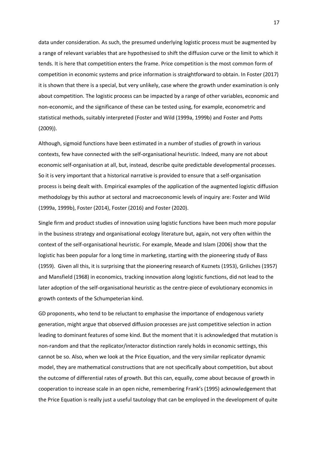data under consideration. As such, the presumed underlying logistic process must be augmented by a range of relevant variables that are hypothesised to shift the diffusion curve or the limit to which it tends. It is here that competition enters the frame. Price competition is the most common form of competition in economic systems and price information is straightforward to obtain. In Foster (2017) it is shown that there is a special, but very unlikely, case where the growth under examination is only about competition. The logistic process can be impacted by a range of other variables, economic and non-economic, and the significance of these can be tested using, for example, econometric and statistical methods, suitably interpreted (Foster and Wild (1999a, 1999b) and Foster and Potts (2009)).

Although, sigmoid functions have been estimated in a number of studies of growth in various contexts, few have connected with the self-organisational heuristic. Indeed, many are not about economic self-organisation at all, but, instead, describe quite predictable developmental processes. So it is very important that a historical narrative is provided to ensure that a self-organisation process is being dealt with. Empirical examples of the application of the augmented logistic diffusion methodology by this author at sectoral and macroeconomic levels of inquiry are: Foster and Wild (1999a, 1999b), Foster (2014), Foster (2016) and Foster (2020).

Single firm and product studies of innovation using logistic functions have been much more popular in the business strategy and organisational ecology literature but, again, not very often within the context of the self-organisational heuristic. For example, Meade and Islam (2006) show that the logistic has been popular for a long time in marketing, starting with the pioneering study of Bass (1959). Given all this, it is surprising that the pioneering research of Kuznets (1953), Griliches (1957) and Mansfield (1968) in economics, tracking innovation along logistic functions, did not lead to the later adoption of the self-organisational heuristic as the centre-piece of evolutionary economics in growth contexts of the Schumpeterian kind.

GD proponents, who tend to be reluctant to emphasise the importance of endogenous variety generation, might argue that observed diffusion processes are just competitive selection in action leading to dominant features of some kind. But the moment that it is acknowledged that mutation is non-random and that the replicator/interactor distinction rarely holds in economic settings, this cannot be so. Also, when we look at the Price Equation, and the very similar replicator dynamic model, they are mathematical constructions that are not specifically about competition, but about the outcome of differential rates of growth. But this can, equally, come about because of growth in cooperation to increase scale in an open niche, remembering Frank's (1995) acknowledgement that the Price Equation is really just a useful tautology that can be employed in the development of quite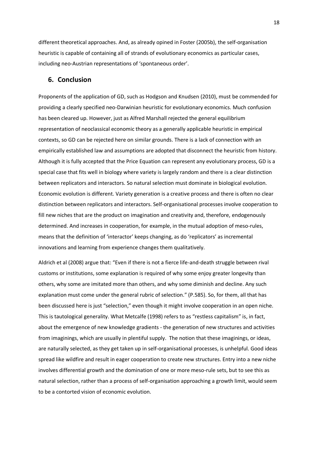different theoretical approaches. And, as already opined in Foster (2005b), the self-organisation heuristic is capable of containing all of strands of evolutionary economics as particular cases, including neo-Austrian representations of 'spontaneous order'.

#### **6. Conclusion**

Proponents of the application of GD, such as Hodgson and Knudsen (2010), must be commended for providing a clearly specified neo-Darwinian heuristic for evolutionary economics. Much confusion has been cleared up. However, just as Alfred Marshall rejected the general equilibrium representation of neoclassical economic theory as a generally applicable heuristic in empirical contexts, so GD can be rejected here on similar grounds. There is a lack of connection with an empirically established law and assumptions are adopted that disconnect the heuristic from history. Although it is fully accepted that the Price Equation can represent any evolutionary process, GD is a special case that fits well in biology where variety is largely random and there is a clear distinction between replicators and interactors. So natural selection must dominate in biological evolution. Economic evolution is different. Variety generation is a creative process and there is often no clear distinction between replicators and interactors. Self-organisational processes involve cooperation to fill new niches that are the product on imagination and creativity and, therefore, endogenously determined. And increases in cooperation, for example, in the mutual adoption of meso-rules, means that the definition of 'interactor' keeps changing, as do 'replicators' as incremental innovations and learning from experience changes them qualitatively.

Aldrich et al (2008) argue that: "Even if there is not a fierce life-and-death struggle between rival customs or institutions, some explanation is required of why some enjoy greater longevity than others, why some are imitated more than others, and why some diminish and decline. Any such explanation must come under the general rubric of selection." (P.585). So, for them, all that has been discussed here is just "selection," even though it might involve cooperation in an open niche. This is tautological generality. What Metcalfe (1998) refers to as "restless capitalism" is, in fact, about the emergence of new knowledge gradients - the generation of new structures and activities from imaginings, which are usually in plentiful supply. The notion that these imaginings, or ideas, are naturally selected, as they get taken up in self-organisational processes, is unhelpful. Good ideas spread like wildfire and result in eager cooperation to create new structures. Entry into a new niche involves differential growth and the domination of one or more meso-rule sets, but to see this as natural selection, rather than a process of self-organisation approaching a growth limit, would seem to be a contorted vision of economic evolution.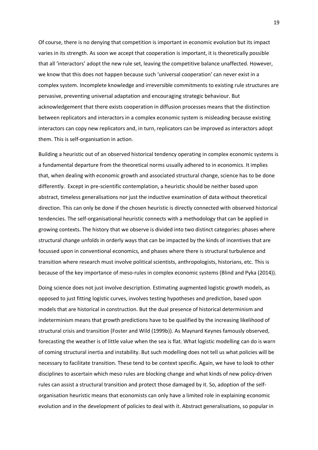Of course, there is no denying that competition is important in economic evolution but its impact varies in its strength. As soon we accept that cooperation is important, it is theoretically possible that all 'interactors' adopt the new rule set, leaving the competitive balance unaffected. However, we know that this does not happen because such 'universal cooperation' can never exist in a complex system. Incomplete knowledge and irreversible commitments to existing rule structures are pervasive, preventing universal adaptation and encouraging strategic behaviour. But acknowledgement that there exists cooperation in diffusion processes means that the distinction between replicators and interactors in a complex economic system is misleading because existing interactors can copy new replicators and, in turn, replicators can be improved as interactors adopt them. This is self-organisation in action.

Building a heuristic out of an observed historical tendency operating in complex economic systems is a fundamental departure from the theoretical norms usually adhered to in economics. It implies that, when dealing with economic growth and associated structural change, science has to be done differently. Except in pre-scientific contemplation, a heuristic should be neither based upon abstract, timeless generalisations nor just the inductive examination of data without theoretical direction. This can only be done if the chosen heuristic is directly connected with observed historical tendencies. The self-organisational heuristic connects with a methodology that can be applied in growing contexts. The history that we observe is divided into two distinct categories: phases where structural change unfolds in orderly ways that can be impacted by the kinds of incentives that are focussed upon in conventional economics, and phases where there is structural turbulence and transition where research must involve political scientists, anthropologists, historians, etc. This is because of the key importance of meso-rules in complex economic systems (Blind and Pyka (2014)).

Doing science does not just involve description. Estimating augmented logistic growth models, as opposed to just fitting logistic curves, involves testing hypotheses and prediction, based upon models that are historical in construction. But the dual presence of historical determinism and indeterminism means that growth predictions have to be qualified by the increasing likelihood of structural crisis and transition (Foster and Wild (1999b)). As Maynard Keynes famously observed, forecasting the weather is of little value when the sea is flat. What logistic modelling can do is warn of coming structural inertia and instability. But such modelling does not tell us what policies will be necessary to facilitate transition. These tend to be context specific. Again, we have to look to other disciplines to ascertain which meso rules are blocking change and what kinds of new policy-driven rules can assist a structural transition and protect those damaged by it. So, adoption of the selforganisation heuristic means that economists can only have a limited role in explaining economic evolution and in the development of policies to deal with it. Abstract generalisations, so popular in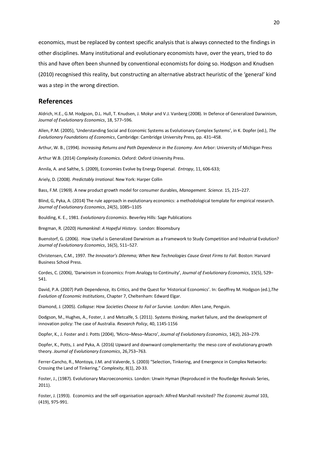economics, must be replaced by context specific analysis that is always connected to the findings in other disciplines. Many institutional and evolutionary economists have, over the years, tried to do this and have often been shunned by conventional economists for doing so. Hodgson and Knudsen (2010) recognised this reality, but constructing an alternative abstract heuristic of the 'general' kind was a step in the wrong direction.

#### **References**

Aldrich, H.E., G.M. Hodgson, D.L. Hull, T. Knudsen, J. Mokyr and V.J. Vanberg (2008). In Defence of Generalized Darwinism, *Journal of Evolutionary Economics*, 18, 577–596.

Allen, P.M. (2005), 'Understanding Social and Economic Systems as Evolutionary Complex Systems', in K. Dopfer (ed.), *The Evolutionary Foundations of Economics*, Cambridge: Cambridge University Press, pp. 431–458.

Arthur, W. B., (1994). *Increasing Returns and Path Dependence in the Economy*. Ann Arbor: University of Michigan Press

Arthur W.B. (2014) *Complexity Economics*. Oxford: Oxford University Press.

Annila, A. and Salthe, S. (2009), Economies Evolve by Energy Dispersal. *Entropy*, 11, 606-633;

Ariely, D. (2008). *Predictably Irrational*. New York: Harper Collin

Bass, F.M. (1969). A new product growth model for consumer durables, *Management. Science.* 15, 215–227.

Blind, G, Pyka, A. (2014) The rule approach in evolutionary economics: a methodological template for empirical research. *Journal of Evolutionary Economics*, 24(5), 1085–1105

Boulding, K. E., 1981. *Evolutionary Economics*. Beverley Hills: Sage Publications

Bregman, R. (2020) *Humankind: A Hopeful History*. London: Bloomsbury

Buenstorf, G. (2006). How Useful is Generalized Darwinism as a Framework to Study Competition and Industrial Evolution? *Journal of Evolutionary Economics*, 16(5), 511–527.

Christensen, C.M., 1997. *The Innovator's Dilemma; When New Technologies Cause Great Firms to Fail*. Boston: Harvard Business School Press.

Cordes, C. (2006), 'Darwinism in Economics: From Analogy to Continuity', *Journal of Evolutionary Economics*, 15(5), 529– 541.

David, P.A. (2007) Path Dependence, [its Critics, and the Quest for 'Historical Economics'](https://ideas.repec.org/h/elg/eechap/12603_7.html). In: Geoffrey M. Hodgson (ed.),*[The](https://ideas.repec.org/b/elg/eebook/12603.html)  [Evolution of Economic Institutions](https://ideas.repec.org/b/elg/eebook/12603.html)*, Chapter 7, Cheltenham: Edward Elgar.

Diamond, J. (2005). *Collapse: How Societies Choose to Fail or Survive.* London: Allen Lane, Penguin.

Dodgson, M., Hughes, A., Foster, J. and Metcalfe, S. (2011). Systems thinking, market failure, and the development of innovation policy: The case of Australia. *Research Policy*, 40, 1145-1156

Dopfer, K., J. Foster and J. Potts (2004), 'Micro–Meso–Macro', *Journal of Evolutionary Economics*, 14(2), 263–279.

Dopfer, K., Potts, J. and Pyka, A. (2016) Upward and downward complementarity: the meso core of evolutionary growth theory. *Journal of Evolutionary Economics*, 26,753–763.

Ferrer-Cancho, R., Montoya, J.M. and Valverde, S. (2003) "Selection, Tinkering, and Emergence in Complex Networks: Crossing the Land of Tinkering," *Complexity*, 8(1), 20-33.

Foster, J., (1987). Evolutionary Macroeconomics. London: Unwin Hyman (Reproduced in the Routledge Revivals Series, 2011).

Foster, J. (1993). Economics and the self-organisation approach: Alfred Marshall revisited? *The Economic Journal* 103, (419), 975-991.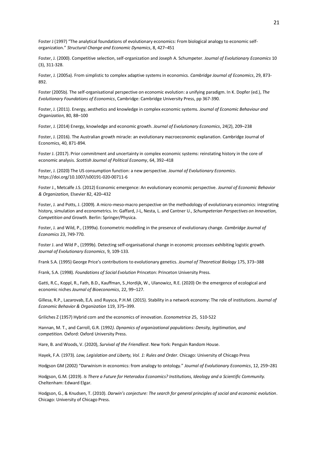Foster J (1997) "The analytical foundations of evolutionary economics: From biological analogy to economic selforganization." *Structural Change and Economic Dynamics*, 8, 427–451

Foster, J. (2000). Competitive selection, self-organization and Joseph A. Schumpeter. *Journal of Evolutionary Economics* 10 (3), 311-328.

Foster, J. (2005a). From simplistic to complex adaptive systems in economics. *Cambridge Journal of Economics*, 29, 873- 892.

Foster (2005b). The self-organisational perspective on economic evolution: a unifying paradigm. In K. Dopfer (ed.), *The Evolutionary Foundations of Economics*, Cambridge: Cambridge University Press, pp 367-390.

Foster, J. (2011). Energy, aesthetics and knowledge in complex economic systems*. Journal of Economic Behaviour and Organization,* 80, 88–100

Foster, J. (2014) Energy, knowledge and economic growth. *Journal of Evolutionary Economics*, 24(2), 209–238

Foster, J. (2016)[. The Australian growth miracle: an evolutionary macroeconomic explanation.](https://scholar.google.com.au/scholar?oi=bibs&cluster=2686606012140208336&btnI=1&hl=en) Cambridge Journal of Economics, 40, 871-894.

Foster J. (2017). Prior commitment and uncertainty in complex economic systems: reinstating history in the core of economic analysis. *Scottish Journal of Political Economy*, 64, 392–418

Foster, J. (2020) The US consumption function: a new perspective. *Journal of Evolutionary Economics*. https://doi.org/10.1007/s00191-020-00711-6

Foster J., Metcalfe J.S. (2012) Economic emergence: An evolutionary economic perspective. *Journal of Economic Behavior & Organization,* Elsevier 82, 420–432

Foster, J. and Potts, J. (2009). A micro-meso-macro perspective on the methodology of evolutionary economics: integrating history, simulation and econometrics. In: Gaffard, J-L, Nesta, L. and Cantner U., *Schumpeterian Perspectives on Innovation, Competition and Growth.* Berlin: Springer/Physica.

Foster, J. and Wild, P., (1999a). Econometric modelling in the presence of evolutionary change. *Cambridge Journal of Economics* 23, 749-770.

Foster J. and Wild P., (1999b). Detecting self-organisational change in economic processes exhibiting logistic growth. *Journal of Evolutionary Economics*, 9, 109-133.

Frank S.A. (1995) George Price's contributions to evolutionary genetics. *Journal of Theoretical Biology* 175, 373–388

Frank, S.A. (1998). *Foundations of Social Evolution* Princeton: Princeton University Press.

Gatti, R.C., Koppl, R., Fath, B.D., Kauffman, S.,Hordijk, W., Ulanowicz, R.E. (2020) On the emergence of ecological and economic niches *Journal of Bioeconomics*, 22, 99–127.

Gillesa, R.P., Lazarovab, E.A. and Ruysca, P.H.M. (2015). Stability in a network economy: The role of institutions. *Journal of Economic Behavior & Organization* 119, 375–399.

Griliches Z (1957) Hybrid corn and the economics of innovation. *Econometrica* 25, 510-522

Hannan, M. T., an[d Carroll,](https://en.wikipedia.org/w/index.php?title=Glenn_R._Carroll&action=edit&redlink=1) G.R. (1992*). Dynamics of organizational populations: Density, legitimation, and competition.* Oxford: Oxford University Press.

Hare, B. and Woods, V. (2020), *Survival of the Friendliest*. New York: Penguin Random House.

Hayek, F.A. (1973). *Law, Legislation and Liberty, Vol. 1: Rules and Order*. Chicago: University of Chicago Press

Hodgson GM (2002) "Darwinism in economics: from analogy to ontology." *Journal of Evolutionary Economics*, 12, 259–281

Hodgson, G.M. (2019). *Is There a Future for Heterodox Economics? Institutions, Ideology and a Scientific Community.* Cheltenham: Edward Elgar.

Hodgson, G., & Knudsen, T. (2010). *Darwin's conjecture: The search for general principles of social and economic evolution*. Chicago: University of Chicago Press.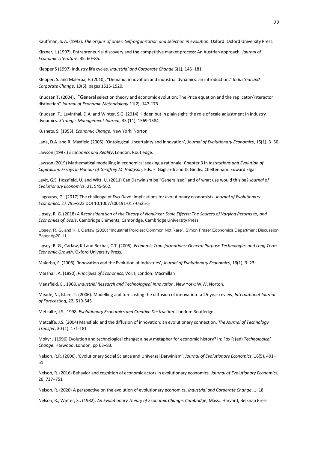Kauffman, S. A. (1993). *The origins of order: Self-organization and selection in evolution*. Oxford: Oxford University Press.

Kirzner, I. (1997). Entrepreneurial discovery and the competitive market process: An Austrian approach. *Journal of Economic Literature*, 35, 60–85.

Klepper S (1997) Industry life cycles. *Industrial and Corporate Change* 6(1), 145–181

Klepper, S. and Malerba, F. (2010). ["Demand, innovation and industrial dynamics: an introduction,](https://ideas.repec.org/a/oup/indcch/v19y2010i5p1515-1520.html)" *[Industrial and](https://ideas.repec.org/s/oup/indcch.html)  [Corporate Change,](https://ideas.repec.org/s/oup/indcch.html)* 19(5), pages 1515-1520.

Knudsen T. (2004). "General selection theory and economic evolution: The Price equation and the replicator/interactor distinction" *Journal of Economic Methodology* 11(2), 147-173.

Knudsen, T., Levinthal, D.A. and Winter, S.G. (2014) Hidden but in plain sight: the role of scale adjustment in industry dynamics. *Strategic Management Journal*, 35 (11), 1569-1584

Kuznets, S. (1953). *Economic Change.* New York: Norton.

Lane, D.A. and R. Maxfield (2005), 'Ontological Uncertainty and Innovation', *Journal of Evolutionary Economics*, 15(1), 3–50.

Lawson (1997.) *Economics and Reality*, London: Routledge.

Lawson (2019) Mathematical modelling in economics: seeking a rationale. Chapter 3 in *[Institutions and Evolution of](https://www.elgaronline.com/view/edcoll/9781785364990/9781785364990.xml)  [Capitalism:](https://www.elgaronline.com/view/edcoll/9781785364990/9781785364990.xml) Essays in Honour of Geoffrey M. Hodgson,* Eds. F. Gagliardi and D. Gindis. Cheltenham: Edward Elgar

Levit, G.S. Hossfield, U. and Witt, U. (2011) Can Darwinism be "Generalized" and of what use would this be? *Journal of Evolutionary Economics*, 21, 545-562.

Liagouras, G. (2017) The challenge of Evo-Devo: implications for evolutionary economists. *Journal of Evolutionary Economics,* 27:795–823 DOI 10.1007/s00191-017-0525-5

Lipsey, R. G. (2018) *A Reconsideration of the Theory of Nonlinear Scale Effects: The Sources of Varying Returns to, and Economies of, Scale*, Cambridge Elements, Cambridge, Cambridge University Press.

Lipsey, R. G. and K. I. Carlaw (2020) "Industrial Policies: Common Not Rare", Simon Fraser Economics Department Discussion Paper dp20-11.

[Lipsey, R](https://en.wikipedia.org/wiki/Richard_Lipsey). G., Carlaw, K.I and Bekhar, C.T. (2005). *[Economic Transformations: General Purpose Technologies and Long Term](https://archive.org/details/economictransfor00lips)  [Economic Growth](https://archive.org/details/economictransfor00lips)*. Oxford University Press.

Malerba, F. (2006), 'Innovation and the Evolution of Industries', *Journal of Evolutionary Economics*, 16(1), 3–23.

Marshall, A. (1890), *Principles of Economics*, Vol. I, London: Macmillan

Mansfield, E., 1968, *Industrial Research and Technological Innovation*, New York: W.W. Norton.

Meade, N., Islam, T. (2006). Modelling and forecasting the diffusion of innovation- a 25-year review, *International Journal of Forecasting,* 22, 519-545

Metcalfe, J.S., 1998. *Evolutionary Economics and Creative Destruction*. London: Routledge[.](https://link.springer.com/article/10.1007%252Fs10961-004-4520-2) 

Metcalfe, J.S. (2004) Mansfield and the diffusion of innovation: an evolutionary connection, *The Journal of Technology Transfer*, 30 (1), 171-181

Mokyr J (1996) Evolution and technological change: a new metaphor for economic history? In: Fox R (ed) *Technological Change*. Harwood, London, pp 63–83.

Nelson, R.R. (2006), 'Evolutionary Social Science and Universal Darwinism', *Journal of Evolutionary Economics*, 16(5), 491– 51

Nelson, R. (2016) Behavior and cognition of economic actors in evolutionary economics. *Journal of Evolutionary Economics,* 26, 737–751

Nelson, R. (2020) A perspective on the evolution of evolutionary economics. *Industrial and Corporate Change*, 1–18.

Nelson, R., Winter, S., (1982). *An Evolutionary Theory of Economic Change. Cambridge*, Mass.: Harvard, Belknap Press.